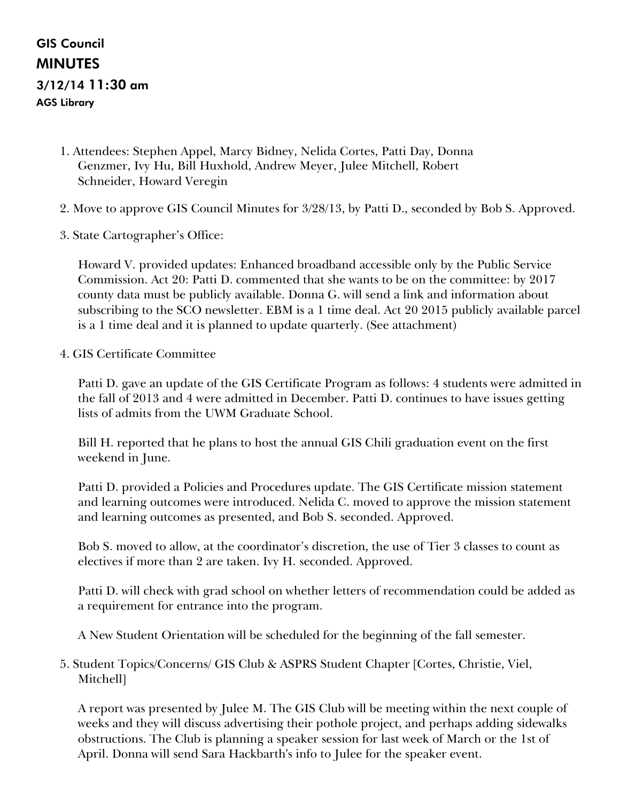# GIS Council MINUTES 3/12/14 11:30 am AGS Library

- 1. Attendees: Stephen Appel, Marcy Bidney, Nelida Cortes, Patti Day, Donna Genzmer, Ivy Hu, Bill Huxhold, Andrew Meyer, Julee Mitchell, Robert Schneider, Howard Veregin
- 2. Move to approve GIS Council Minutes for 3/28/13, by Patti D., seconded by Bob S. Approved.
- 3. State Cartographer's Office:

Howard V. provided updates: Enhanced broadband accessible only by the Public Service Commission. Act 20: Patti D. commented that she wants to be on the committee: by 2017 county data must be publicly available. Donna G. will send a link and information about subscribing to the SCO newsletter. EBM is a 1 time deal. Act 20 2015 publicly available parcel is a 1 time deal and it is planned to update quarterly. (See attachment)

4. GIS Certificate Committee

Patti D. gave an update of the GIS Certificate Program as follows: 4 students were admitted in the fall of 2013 and 4 were admitted in December. Patti D. continues to have issues getting lists of admits from the UWM Graduate School.

Bill H. reported that he plans to host the annual GIS Chili graduation event on the first weekend in June.

Patti D. provided a Policies and Procedures update. The GIS Certificate mission statement and learning outcomes were introduced. Nelida C. moved to approve the mission statement and learning outcomes as presented, and Bob S. seconded. Approved.

Bob S. moved to allow, at the coordinator's discretion, the use of Tier 3 classes to count as electives if more than 2 are taken. Ivy H. seconded. Approved.

Patti D. will check with grad school on whether letters of recommendation could be added as a requirement for entrance into the program.

A New Student Orientation will be scheduled for the beginning of the fall semester.

5. Student Topics/Concerns/ GIS Club & ASPRS Student Chapter [Cortes, Christie, Viel, Mitchell]

A report was presented by Julee M. The GIS Club will be meeting within the next couple of weeks and they will discuss advertising their pothole project, and perhaps adding sidewalks obstructions. The Club is planning a speaker session for last week of March or the 1st of April. Donna will send Sara Hackbarth's info to Julee for the speaker event.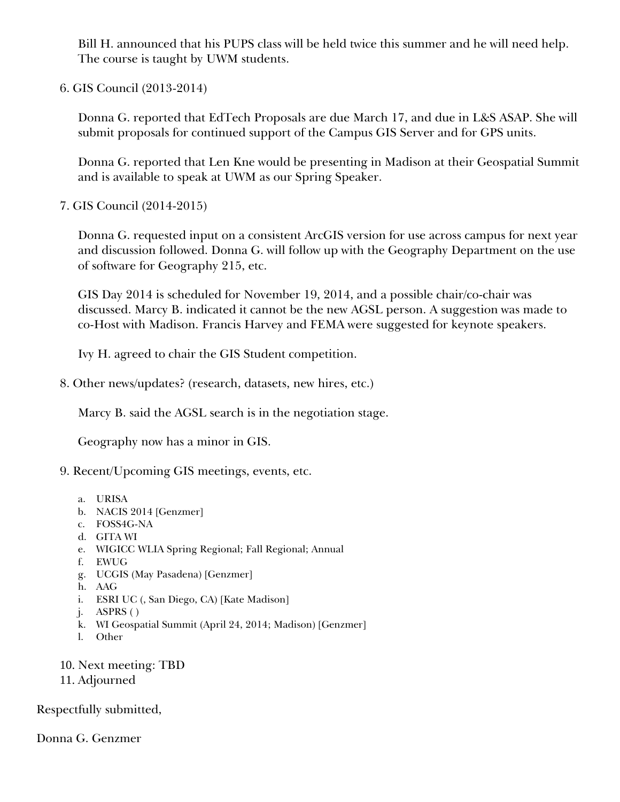Bill H. announced that his PUPS class will be held twice this summer and he will need help. The course is taught by UWM students.

6. GIS Council (2013-2014)

Donna G. reported that EdTech Proposals are due March 17, and due in L&S ASAP. She will submit proposals for continued support of the Campus GIS Server and for GPS units.

Donna G. reported that Len Kne would be presenting in Madison at their Geospatial Summit and is available to speak at UWM as our Spring Speaker.

7. GIS Council (2014-2015)

Donna G. requested input on a consistent ArcGIS version for use across campus for next year and discussion followed. Donna G. will follow up with the Geography Department on the use of software for Geography 215, etc.

GIS Day 2014 is scheduled for November 19, 2014, and a possible chair/co-chair was discussed. Marcy B. indicated it cannot be the new AGSL person. A suggestion was made to co-Host with Madison. Francis Harvey and FEMA were suggested for keynote speakers.

Ivy H. agreed to chair the GIS Student competition.

8. Other news/updates? (research, datasets, new hires, etc.)

Marcy B. said the AGSL search is in the negotiation stage.

Geography now has a minor in GIS.

- 9. Recent/Upcoming GIS meetings, events, etc.
	- a. URISA
	- b. NACIS 2014 [Genzmer]
	- c. FOSS4G-NA
	- d. GITA WI
	- e. WIGICC WLIA Spring Regional; Fall Regional; Annual
	- f. EWUG
	- g. UCGIS (May Pasadena) [Genzmer]
	- h. AAG
	- i. ESRI UC (, San Diego, CA) [Kate Madison]
	- j. ASPRS ( )
	- k. WI Geospatial Summit (April 24, 2014; Madison) [Genzmer]
	- l. Other
- 10. Next meeting: TBD
- 11. Adjourned

Respectfully submitted,

Donna G. Genzmer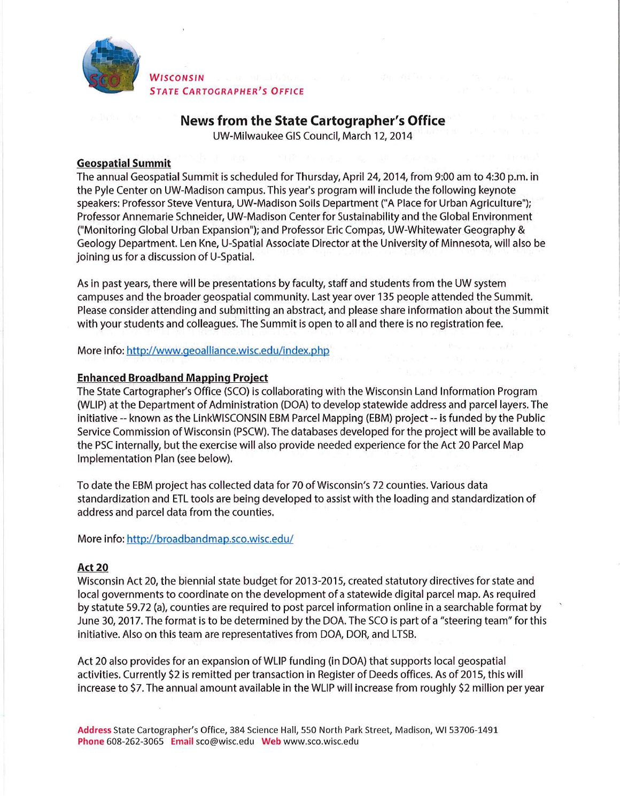

WISCONSIN **STATE CARTOGRAPHER'S OFFICE** 

## News from the State Cartographer's Office

UW-Milwaukee GIS Council, March 12, 2014

## **Geospatial Summit**

The annual Geospatial Summit is scheduled for Thursday, April 24, 2014, from 9:00 am to 4:30 p.m. in the Pyle Center on UW-Madison campus. This year's program will include the following keynote speakers: Professor Steve Ventura, UW-Madison Soils Department ("A Place for Urban Agriculture"); Professor Annemarie Schneider, UW-Madison Center for Sustainability and the Global Environment ("Monitoring Global Urban Expansion"); and Professor Eric Compas, UW-Whitewater Geography & Geology Department. Len Kne, U-Spatial Associate Director at the University of Minnesota, will also be joining us for a discussion of U-Spatial.

As in past years, there will be presentations by faculty, staff and students from the UW system campuses and the broader geospatial community. Last year over 135 people attended the Summit. Please consider attending and submitting an abstract, and please share information about the Summit with your students and colleagues. The Summit is open to all and there is no registration fee.

More info: http://www.geoalliance.wisc.edu/index.php

#### **Enhanced Broadband Mapping Project**

The State Cartographer's Office (SCO) is collaborating with the Wisconsin Land Information Program (WLIP) at the Department of Administration (DOA) to develop statewide address and parcel layers. The initiative -- known as the LinkWISCONSIN EBM Parcel Mapping (EBM) project -- is funded by the Public Service Commission of Wisconsin (PSCW). The databases developed for the project will be available to the PSC internally, but the exercise will also provide needed experience for the Act 20 Parcel Map Implementation Plan (see below).

To date the EBM project has collected data for 70 of Wisconsin's 72 counties. Various data standardization and ETL tools are being developed to assist with the loading and standardization of address and parcel data from the counties.

More info: http://broadbandmap.sco.wisc.edu/

## **Act 20**

Wisconsin Act 20, the biennial state budget for 2013-2015, created statutory directives for state and local governments to coordinate on the development of a statewide digital parcel map. As required by statute 59.72 (a), counties are required to post parcel information online in a searchable format by June 30, 2017. The format is to be determined by the DOA. The SCO is part of a "steering team" for this initiative. Also on this team are representatives from DOA, DOR, and LTSB.

Act 20 also provides for an expansion of WLIP funding (in DOA) that supports local geospatial activities. Currently \$2 is remitted per transaction in Register of Deeds offices. As of 2015, this will increase to \$7. The annual amount available in the WLIP will increase from roughly \$2 million per year

Address State Cartographer's Office, 384 Science Hall, 550 North Park Street, Madison, WI 53706-1491 Phone 608-262-3065 Email sco@wisc.edu Web www.sco.wisc.edu